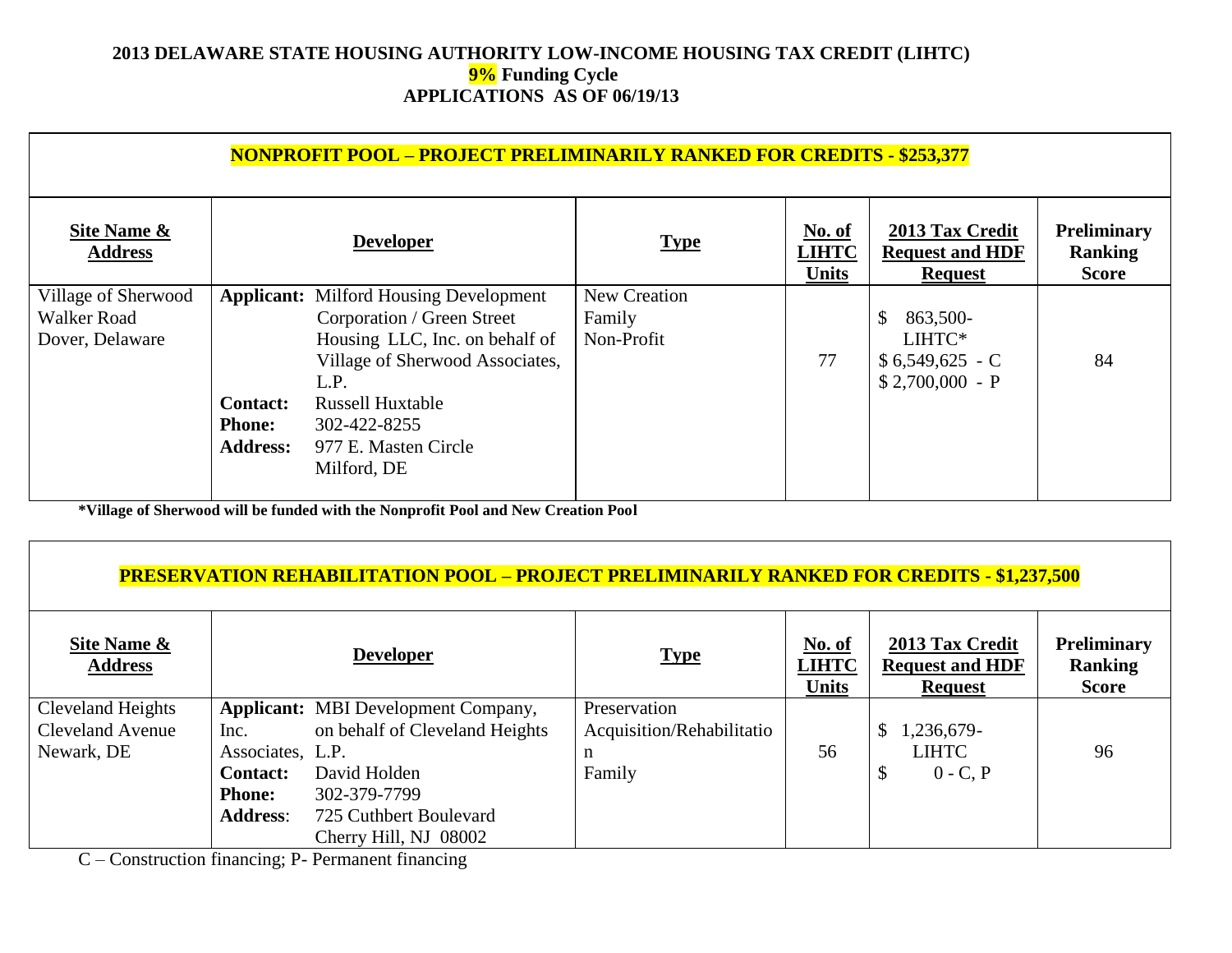### **2013 DELAWARE STATE HOUSING AUTHORITY LOW-INCOME HOUSING TAX CREDIT (LIHTC) 9% Funding Cycle APPLICATIONS AS OF 06/19/13**

| <b>NONPROFIT POOL - PROJECT PRELIMINARILY RANKED FOR CREDITS - \$253,377</b> |                                 |                                               |                                               |                                                             |                                                      |  |  |  |
|------------------------------------------------------------------------------|---------------------------------|-----------------------------------------------|-----------------------------------------------|-------------------------------------------------------------|------------------------------------------------------|--|--|--|
|                                                                              | <b>Developer</b>                | <b>Type</b>                                   | <b>No. of</b><br><b>LIHTC</b><br><b>Units</b> | 2013 Tax Credit<br><b>Request and HDF</b><br><b>Request</b> | <b>Preliminary</b><br><b>Ranking</b><br><b>Score</b> |  |  |  |
|                                                                              |                                 | New Creation                                  |                                               |                                                             |                                                      |  |  |  |
|                                                                              | Corporation / Green Street      | Family                                        |                                               | 863,500-<br>\$                                              |                                                      |  |  |  |
|                                                                              | Housing LLC, Inc. on behalf of  | Non-Profit                                    |                                               | LIHTC*                                                      |                                                      |  |  |  |
|                                                                              | Village of Sherwood Associates, |                                               | 77                                            | $$6,549,625$ - C                                            | 84                                                   |  |  |  |
|                                                                              | L.P.                            |                                               |                                               | $$2,700,000 - P$                                            |                                                      |  |  |  |
| <b>Contact:</b>                                                              | <b>Russell Huxtable</b>         |                                               |                                               |                                                             |                                                      |  |  |  |
| <b>Phone:</b>                                                                | 302-422-8255                    |                                               |                                               |                                                             |                                                      |  |  |  |
| <b>Address:</b>                                                              | 977 E. Masten Circle            |                                               |                                               |                                                             |                                                      |  |  |  |
|                                                                              | Milford, DE                     |                                               |                                               |                                                             |                                                      |  |  |  |
|                                                                              |                                 | <b>Applicant:</b> Milford Housing Development |                                               |                                                             |                                                      |  |  |  |

**\*Village of Sherwood will be funded with the Nonprofit Pool and New Creation Pool**

#### **PRESERVATION REHABILITATION POOL – PROJECT PRELIMINARILY RANKED FOR CREDITS - \$1,237,500**

| Site Name &<br><b>Address</b> |                  | <b>Developer</b>                           | <b>Type</b>               | No. of<br><b>LIHTC</b><br><b>Units</b> | 2013 Tax Credit<br><b>Request and HDF</b><br><b>Request</b> | <b>Preliminary</b><br>Ranking<br><b>Score</b> |
|-------------------------------|------------------|--------------------------------------------|---------------------------|----------------------------------------|-------------------------------------------------------------|-----------------------------------------------|
| Cleveland Heights             |                  | <b>Applicant:</b> MBI Development Company, | Preservation              |                                        |                                                             |                                               |
| <b>Cleveland Avenue</b>       | Inc.             | on behalf of Cleveland Heights             | Acquisition/Rehabilitatio |                                        | $$1,236,679$ -                                              |                                               |
| Newark, DE                    | Associates, L.P. |                                            | n                         | 56                                     | <b>LIHTC</b>                                                | 96                                            |
|                               | <b>Contact:</b>  | David Holden                               | Family                    |                                        | $\mathcal{S}$<br>$0 - C$ , P                                |                                               |
|                               | <b>Phone:</b>    | 302-379-7799                               |                           |                                        |                                                             |                                               |
|                               | <b>Address:</b>  | 725 Cuthbert Boulevard                     |                           |                                        |                                                             |                                               |
|                               |                  | Cherry Hill, NJ 08002                      |                           |                                        |                                                             |                                               |

C – Construction financing; P- Permanent financing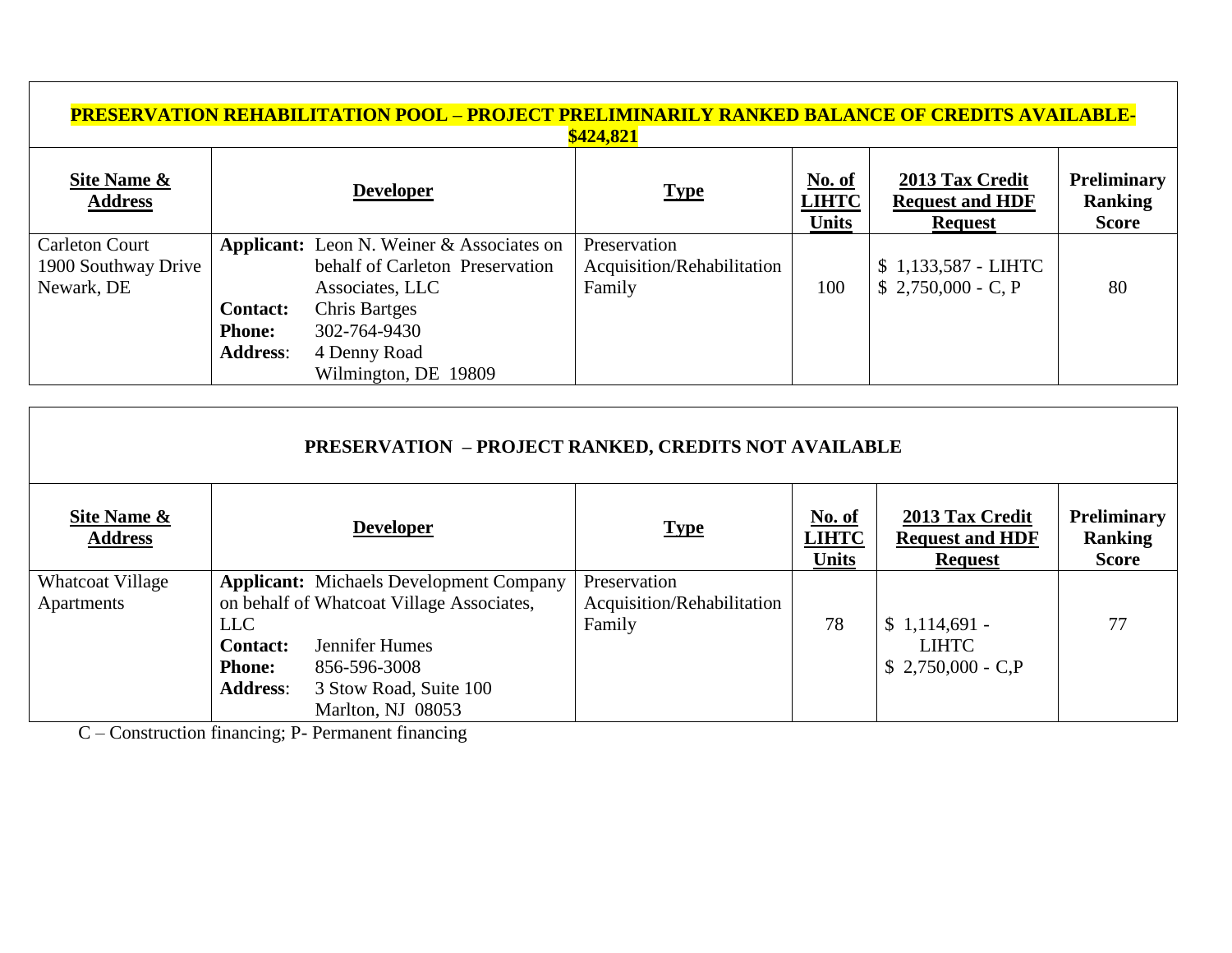| <u> PRESERVATION REHABILITATION POOL – PROJECT PRELIMINARILY RANKED BALANCE OF CREDITS AVAILABLE-</u><br>\$424,821 |                                                     |                                                                                                        |                                                      |                                          |                                                             |                                                      |  |  |  |
|--------------------------------------------------------------------------------------------------------------------|-----------------------------------------------------|--------------------------------------------------------------------------------------------------------|------------------------------------------------------|------------------------------------------|-------------------------------------------------------------|------------------------------------------------------|--|--|--|
| <b>Site Name &amp;</b><br><b>Address</b>                                                                           |                                                     | <b>Developer</b>                                                                                       | <b>Type</b>                                          | $No. of$<br><b>LIHTC</b><br><b>Units</b> | 2013 Tax Credit<br><b>Request and HDF</b><br><b>Request</b> | <b>Preliminary</b><br><b>Ranking</b><br><b>Score</b> |  |  |  |
| <b>Carleton Court</b><br>1900 Southway Drive<br>Newark, DE                                                         |                                                     | <b>Applicant:</b> Leon N. Weiner & Associates on<br>behalf of Carleton Preservation<br>Associates, LLC | Preservation<br>Acquisition/Rehabilitation<br>Family | 100                                      | $$1,133,587$ - LIHTC<br>$$2,750,000 - C, P$                 | 80                                                   |  |  |  |
|                                                                                                                    | <b>Contact:</b><br><b>Phone:</b><br><b>Address:</b> | <b>Chris Bartges</b><br>302-764-9430<br>4 Denny Road<br>Wilmington, DE 19809                           |                                                      |                                          |                                                             |                                                      |  |  |  |

| <b>PRESERVATION - PROJECT RANKED, CREDITS NOT AVAILABLE</b> |                                                            |                                                                                                                                                                              |                                                      |                                               |                                                             |                                                      |  |  |
|-------------------------------------------------------------|------------------------------------------------------------|------------------------------------------------------------------------------------------------------------------------------------------------------------------------------|------------------------------------------------------|-----------------------------------------------|-------------------------------------------------------------|------------------------------------------------------|--|--|
| Site Name &<br><b>Address</b>                               |                                                            | <b>Developer</b>                                                                                                                                                             | <b>Type</b>                                          | <b>No. of</b><br><b>LIHTC</b><br><b>Units</b> | 2013 Tax Credit<br><b>Request and HDF</b><br><b>Request</b> | <b>Preliminary</b><br><b>Ranking</b><br><b>Score</b> |  |  |
| <b>Whatcoat Village</b><br>Apartments                       | LLC<br><b>Contact:</b><br><b>Phone:</b><br><b>Address:</b> | <b>Applicant:</b> Michaels Development Company<br>on behalf of Whatcoat Village Associates,<br>Jennifer Humes<br>856-596-3008<br>3 Stow Road, Suite 100<br>Marlton, NJ 08053 | Preservation<br>Acquisition/Rehabilitation<br>Family | 78                                            | $$1,114,691$ -<br><b>LIHTC</b><br>$$2,750,000 - C.P$        | 77                                                   |  |  |

C – Construction financing; P- Permanent financing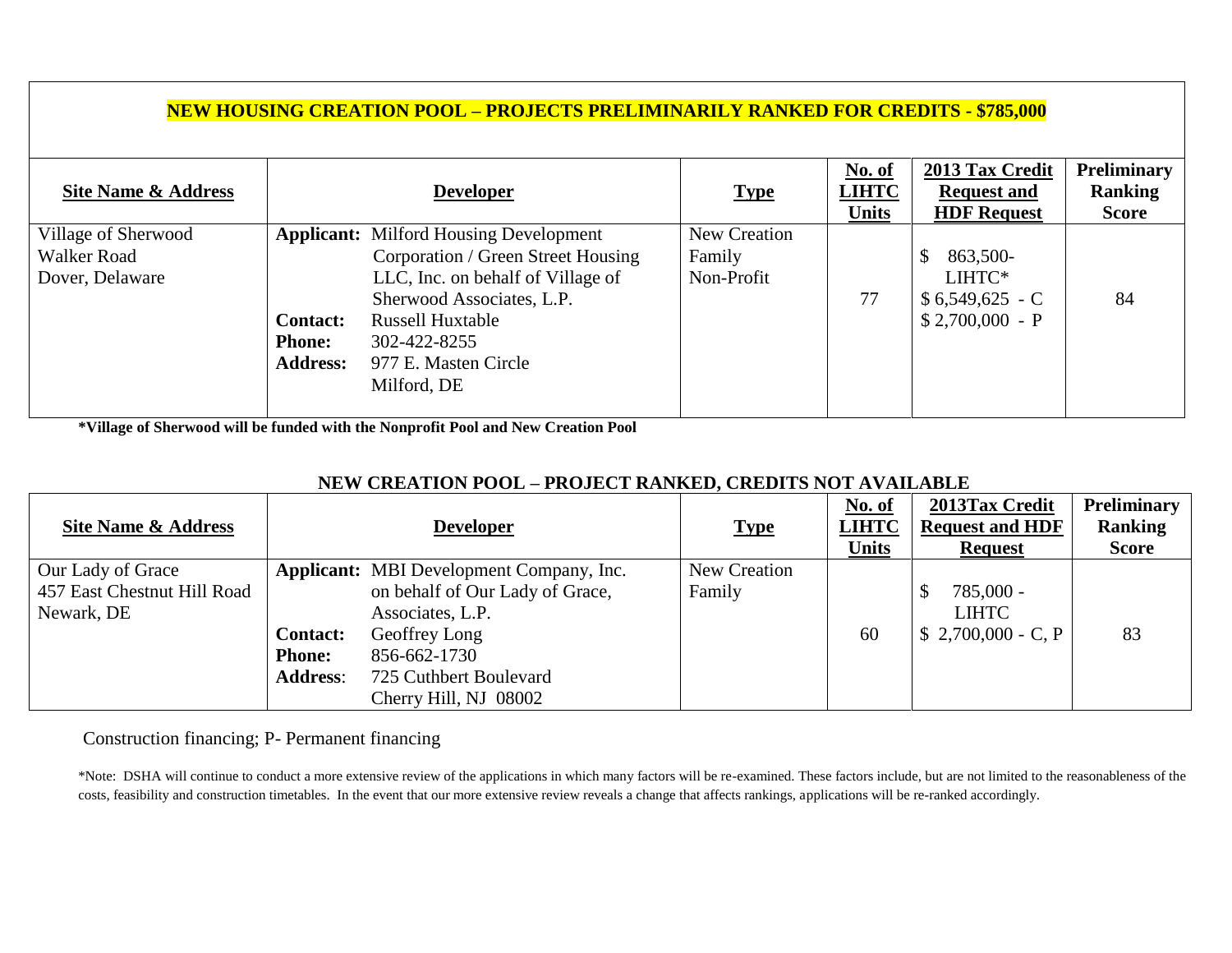# **NEW HOUSING CREATION POOL – PROJECTS PRELIMINARILY RANKED FOR CREDITS - \$785,000**

| Site Name & Address |                 | <b>Developer</b>                              | <b>Type</b>  | No. of<br><b>LIHTC</b><br><b>Units</b> | 2013 Tax Credit<br><b>Request and</b><br><b>HDF</b> Request | <b>Preliminary</b><br>Ranking<br><b>Score</b> |
|---------------------|-----------------|-----------------------------------------------|--------------|----------------------------------------|-------------------------------------------------------------|-----------------------------------------------|
| Village of Sherwood |                 | <b>Applicant:</b> Milford Housing Development | New Creation |                                        |                                                             |                                               |
| Walker Road         |                 | Corporation / Green Street Housing            | Family       |                                        | 863,500-                                                    |                                               |
| Dover, Delaware     |                 | LLC, Inc. on behalf of Village of             | Non-Profit   |                                        | LIHTC*                                                      |                                               |
|                     |                 | Sherwood Associates, L.P.                     |              | 77                                     | $$6,549,625$ - C                                            | 84                                            |
|                     | <b>Contact:</b> | <b>Russell Huxtable</b>                       |              |                                        | $$2,700,000 - P$                                            |                                               |
|                     | <b>Phone:</b>   | 302-422-8255                                  |              |                                        |                                                             |                                               |
|                     | <b>Address:</b> | 977 E. Masten Circle                          |              |                                        |                                                             |                                               |
|                     |                 | Milford, DE                                   |              |                                        |                                                             |                                               |
|                     |                 |                                               |              |                                        |                                                             |                                               |

**\*Village of Sherwood will be funded with the Nonprofit Pool and New Creation Pool**

# **NEW CREATION POOL – PROJECT RANKED, CREDITS NOT AVAILABLE**

|                             |                 |                                          |              | No. of       | 2013Tax Credit         | <b>Preliminary</b> |
|-----------------------------|-----------------|------------------------------------------|--------------|--------------|------------------------|--------------------|
| Site Name & Address         |                 | <b>Developer</b>                         | <b>Type</b>  | <b>LIHTC</b> | <b>Request and HDF</b> | <b>Ranking</b>     |
|                             |                 |                                          |              | Units        | <b>Request</b>         | <b>Score</b>       |
| Our Lady of Grace           |                 | Applicant: MBI Development Company, Inc. | New Creation |              |                        |                    |
| 457 East Chestnut Hill Road |                 | on behalf of Our Lady of Grace,          | Family       |              | 785,000 -              |                    |
| Newark, DE                  |                 | Associates, L.P.                         |              |              | <b>LIHTC</b>           |                    |
|                             | <b>Contact:</b> | Geoffrey Long                            |              | 60           | $$2,700,000 - C, P$    | 83                 |
|                             | <b>Phone:</b>   | 856-662-1730                             |              |              |                        |                    |
|                             | <b>Address:</b> | 725 Cuthbert Boulevard                   |              |              |                        |                    |
|                             |                 | Cherry Hill, NJ 08002                    |              |              |                        |                    |

Construction financing; P- Permanent financing

\*Note: DSHA will continue to conduct a more extensive review of the applications in which many factors will be re-examined. These factors include, but are not limited to the reasonableness of the costs, feasibility and construction timetables. In the event that our more extensive review reveals a change that affects rankings, applications will be re-ranked accordingly.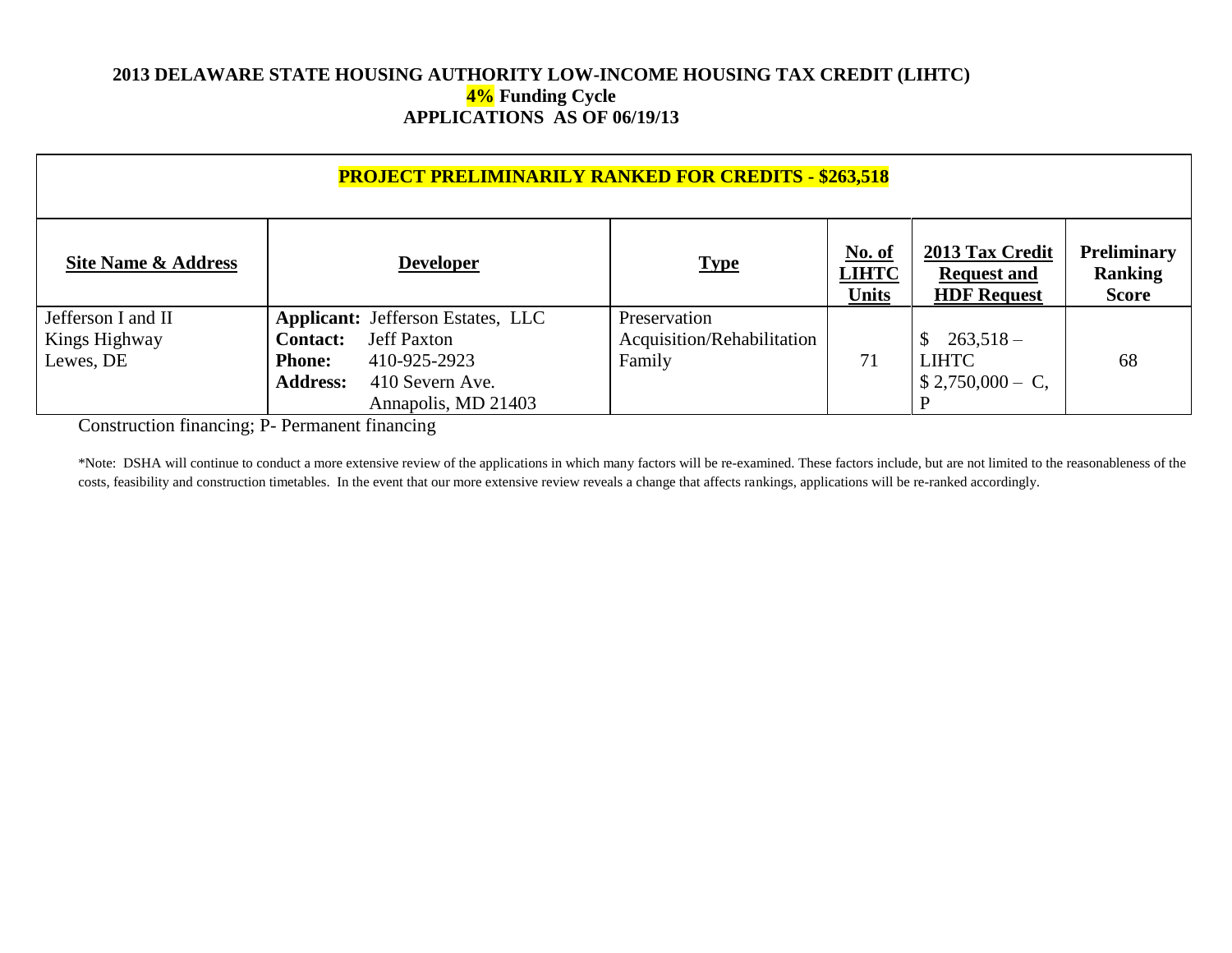### **2013 DELAWARE STATE HOUSING AUTHORITY LOW-INCOME HOUSING TAX CREDIT (LIHTC) 4% Funding Cycle APPLICATIONS AS OF 06/19/13**

| <b>PROJECT PRELIMINARILY RANKED FOR CREDITS - \$263,518</b> |                                                                                                                                                                                 |                                                      |                                        |                                                             |                                               |  |  |
|-------------------------------------------------------------|---------------------------------------------------------------------------------------------------------------------------------------------------------------------------------|------------------------------------------------------|----------------------------------------|-------------------------------------------------------------|-----------------------------------------------|--|--|
| Site Name & Address                                         | <b>Developer</b>                                                                                                                                                                | <b>Type</b>                                          | <u>No. of</u><br><b>LIHTC</b><br>Units | 2013 Tax Credit<br><b>Request and</b><br><b>HDF Request</b> | Preliminary<br><b>Ranking</b><br><b>Score</b> |  |  |
| Jefferson I and II<br>Kings Highway<br>Lewes, DE            | <b>Applicant:</b> Jefferson Estates, LLC<br><b>Jeff Paxton</b><br><b>Contact:</b><br>410-925-2923<br><b>Phone:</b><br><b>Address:</b><br>410 Severn Ave.<br>Annapolis, MD 21403 | Preservation<br>Acquisition/Rehabilitation<br>Family | 71                                     | $263,518-$<br><b>LIHTC</b><br>$$2,750,000 - C,$             | 68                                            |  |  |

Construction financing; P- Permanent financing

\*Note: DSHA will continue to conduct a more extensive review of the applications in which many factors will be re-examined. These factors include, but are not limited to the reasonableness of the costs, feasibility and construction timetables. In the event that our more extensive review reveals a change that affects rankings, applications will be re-ranked accordingly.